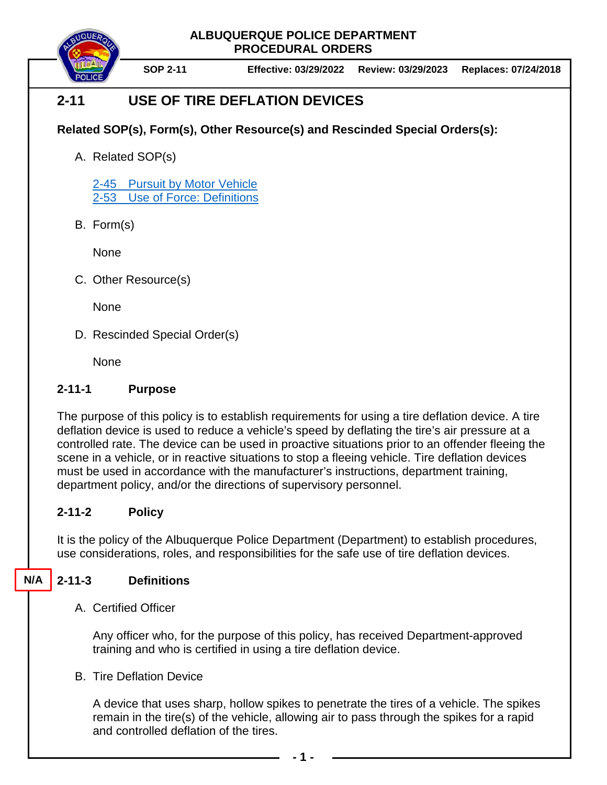**ALBUQUERQUE POLICE DEPARTMENT PROCEDURAL ORDERS**

**SOP 2-11 Effective: 03/29/2022 Review: 03/29/2023 Replaces: 07/24/2018**

## **2-11 USE OF TIRE DEFLATION DEVICES**

## **Related SOP(s), Form(s), Other Resource(s) and Rescinded Special Orders(s):**

A. Related SOP(s)

[2-45 Pursuit by Motor Vehicle](https://powerdms.com/docs/139?q=2-45) 2-53 [Use of Force: Definitions](https://powerdms.com/docs/1897089?q=true)

B. Form(s)

None

C. Other Resource(s)

None

D. Rescinded Special Order(s)

**None** 

## **2-11-1 Purpose**

The purpose of this policy is to establish requirements for using a tire deflation device. A tire deflation device is used to reduce a vehicle's speed by deflating the tire's air pressure at a controlled rate. The device can be used in proactive situations prior to an offender fleeing the scene in a vehicle, or in reactive situations to stop a fleeing vehicle. Tire deflation devices must be used in accordance with the manufacturer's instructions, department training, department policy, and/or the directions of supervisory personnel.

## **2-11-2 Policy**

It is the policy of the Albuquerque Police Department (Department) to establish procedures, use considerations, roles, and responsibilities for the safe use of tire deflation devices.

#### **2-11-3 Definitions N/A**

A. Certified Officer

Any officer who, for the purpose of this policy, has received Department-approved training and who is certified in using a tire deflation device.

B. Tire Deflation Device

A device that uses sharp, hollow spikes to penetrate the tires of a vehicle. The spikes remain in the tire(s) of the vehicle, allowing air to pass through the spikes for a rapid and controlled deflation of the tires.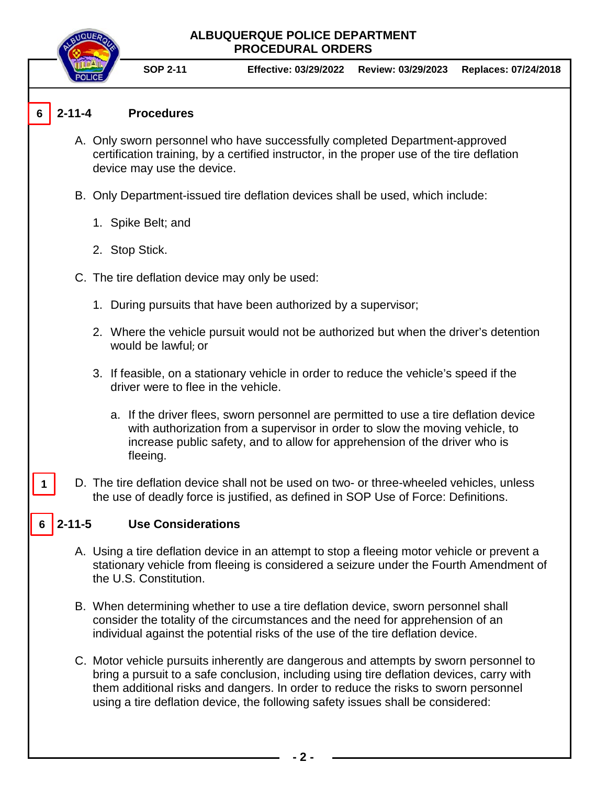# **ALBUQUERQUE POLICE DEPARTMENT PROCEDURAL ORDERS SOP 2-11 Effective: 03/29/2022 Review: 03/29/2023 Replaces: 07/24/2018 2-11-4 Procedures** A. Only sworn personnel who have successfully completed Department-approved certification training, by a certified instructor, in the proper use of the tire deflation device may use the device. B. Only Department-issued tire deflation devices shall be used, which include: 1. Spike Belt; and 2. Stop Stick. C. The tire deflation device may only be used: 1. During pursuits that have been authorized by a supervisor; 2. Where the vehicle pursuit would not be authorized but when the driver's detention would be lawful; or 3. If feasible, on a stationary vehicle in order to reduce the vehicle's speed if the driver were to flee in the vehicle. a. If the driver flees, sworn personnel are permitted to use a tire deflation device with authorization from a supervisor in order to slow the moving vehicle, to increase public safety, and to allow for apprehension of the driver who is fleeing.

D. The tire deflation device shall not be used on two- or three-wheeled vehicles, unless the use of deadly force is justified, as defined in SOP Use of Force: Definitions.

#### **2-11-5 Use Considerations 6**

**6**

**1**

- A. Using a tire deflation device in an attempt to stop a fleeing motor vehicle or prevent a stationary vehicle from fleeing is considered a seizure under the Fourth Amendment of the U.S. Constitution.
- B. When determining whether to use a tire deflation device, sworn personnel shall consider the totality of the circumstances and the need for apprehension of an individual against the potential risks of the use of the tire deflation device.
- C. Motor vehicle pursuits inherently are dangerous and attempts by sworn personnel to bring a pursuit to a safe conclusion, including using tire deflation devices, carry with them additional risks and dangers. In order to reduce the risks to sworn personnel using a tire deflation device, the following safety issues shall be considered: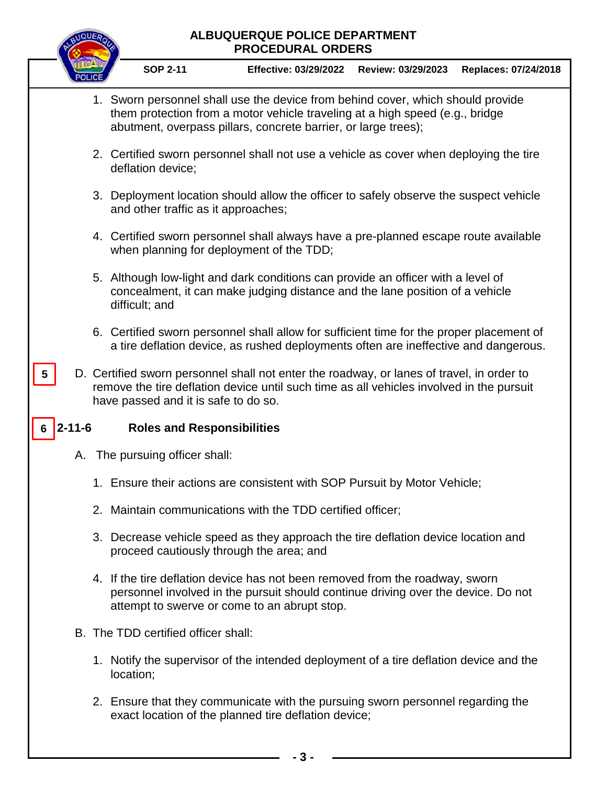# **ALBUQUERQUE POLICE DEPARTMENT PROCEDURAL ORDERS SOP 2-11 Effective: 03/29/2022 Review: 03/29/2023 Replaces: 07/24/2018** 1. Sworn personnel shall use the device from behind cover, which should provide them protection from a motor vehicle traveling at a high speed (e.g., bridge abutment, overpass pillars, concrete barrier, or large trees); 2. Certified sworn personnel shall not use a vehicle as cover when deploying the tire deflation device; 3. Deployment location should allow the officer to safely observe the suspect vehicle and other traffic as it approaches; 4. Certified sworn personnel shall always have a pre-planned escape route available when planning for deployment of the TDD; 5. Although low-light and dark conditions can provide an officer with a level of concealment, it can make judging distance and the lane position of a vehicle difficult; and 6. Certified sworn personnel shall allow for sufficient time for the proper placement of a tire deflation device, as rushed deployments often are ineffective and dangerous. D. Certified sworn personnel shall not enter the roadway, or lanes of travel, in order to remove the tire deflation device until such time as all vehicles involved in the pursuit have passed and it is safe to do so. **2-11-6 Roles and Responsibilities** A. The pursuing officer shall: 1. Ensure their actions are consistent with SOP Pursuit by Motor Vehicle; 2. Maintain communications with the TDD certified officer; 3. Decrease vehicle speed as they approach the tire deflation device location and proceed cautiously through the area; and 4. If the tire deflation device has not been removed from the roadway, sworn personnel involved in the pursuit should continue driving over the device. Do not attempt to swerve or come to an abrupt stop. B. The TDD certified officer shall: 1. Notify the supervisor of the intended deployment of a tire deflation device and the location;  $6 \overline{)2 - 11 - 6}$ **5**

2. Ensure that they communicate with the pursuing sworn personnel regarding the exact location of the planned tire deflation device;